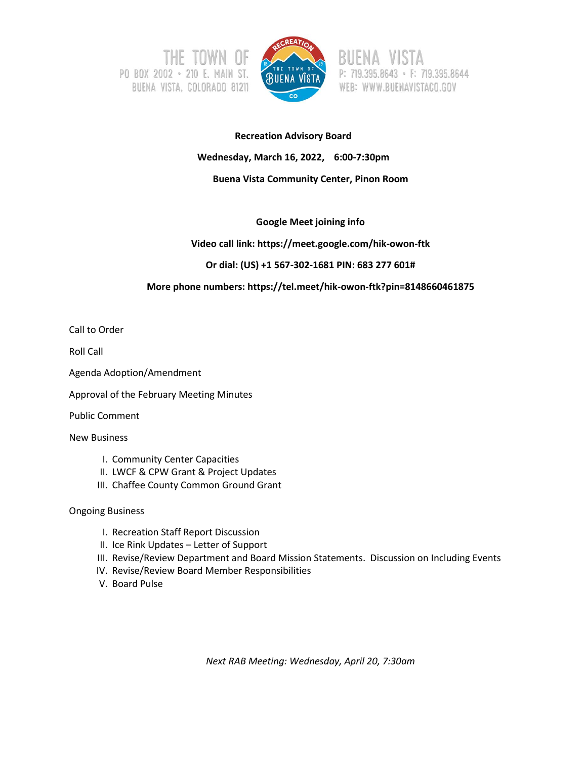



395.8643 · F: 719.395.8644 WEB: WWW.BUENAVISTACO.GOV

# **Recreation Advisory Board Wednesday, March 16, 2022, 6:00-7:30pm Buena Vista Community Center, Pinon Room**

#### **Google Meet joining info**

#### **Video call link: https://meet.google.com/hik-owon-ftk**

#### **Or dial: (US) +1 567-302-1681 PIN: 683 277 601#**

#### **More phone numbers: https://tel.meet/hik-owon-ftk?pin=8148660461875**

Call to Order

Roll Call

Agenda Adoption/Amendment

Approval of the February Meeting Minutes

Public Comment

New Business

- I. Community Center Capacities
- II. LWCF & CPW Grant & Project Updates
- III. Chaffee County Common Ground Grant

#### Ongoing Business

- I. Recreation Staff Report Discussion
- II. Ice Rink Updates Letter of Support
- III. Revise/Review Department and Board Mission Statements. Discussion on Including Events
- IV. Revise/Review Board Member Responsibilities
- V. Board Pulse

*Next RAB Meeting: Wednesday, April 20, 7:30am*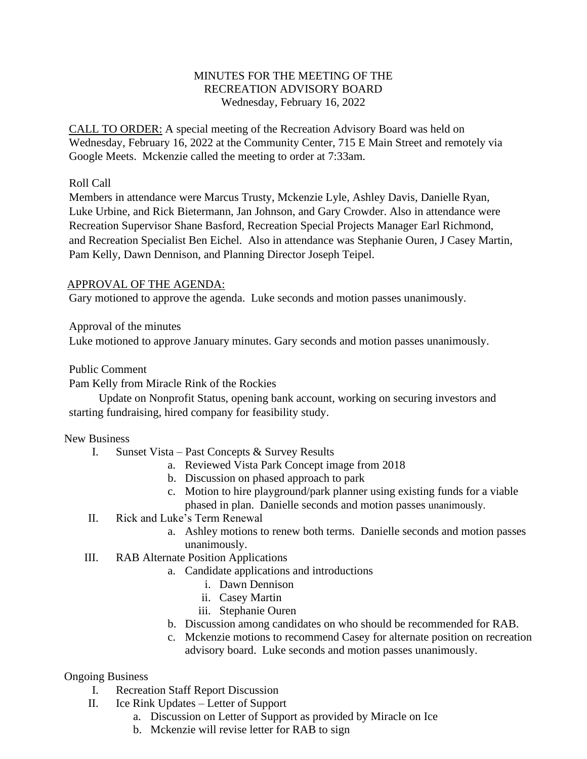### MINUTES FOR THE MEETING OF THE RECREATION ADVISORY BOARD Wednesday, February 16, 2022

CALL TO ORDER: A special meeting of the Recreation Advisory Board was held on Wednesday, February 16, 2022 at the Community Center, 715 E Main Street and remotely via Google Meets. Mckenzie called the meeting to order at 7:33am.

### Roll Call

Members in attendance were Marcus Trusty, Mckenzie Lyle*,* Ashley Davis, Danielle Ryan*,*  Luke Urbine*,* and Rick Bietermann, Jan Johnson, and Gary Crowder. Also in attendance were Recreation Supervisor Shane Basford*,* Recreation Special Projects Manager Earl Richmond, and Recreation Specialist Ben Eichel*.* Also in attendance was Stephanie Ouren, J Casey Martin, Pam Kelly, Dawn Dennison, and Planning Director Joseph Teipel.

#### APPROVAL OF THE AGENDA:

Gary motioned to approve the agenda. Luke seconds and motion passes unanimously.

Approval of the minutes

Luke motioned to approve January minutes. Gary seconds and motion passes unanimously.

Public Comment

Pam Kelly from Miracle Rink of the Rockies

Update on Nonprofit Status, opening bank account, working on securing investors and starting fundraising, hired company for feasibility study.

#### New Business

- I. Sunset Vista Past Concepts & Survey Results
	- a. Reviewed Vista Park Concept image from 2018
	- b. Discussion on phased approach to park
	- c. Motion to hire playground/park planner using existing funds for a viable
	- phased in plan. Danielle seconds and motion passes unanimously.
- II. Rick and Luke's Term Renewal
	- a. Ashley motions to renew both terms. Danielle seconds and motion passes unanimously.
- III. RAB Alternate Position Applications
	- a. Candidate applications and introductions
		- i. Dawn Dennison
		- ii. Casey Martin
		- iii. Stephanie Ouren
	- b. Discussion among candidates on who should be recommended for RAB.
	- c. Mckenzie motions to recommend Casey for alternate position on recreation advisory board. Luke seconds and motion passes unanimously.

### Ongoing Business

- I. Recreation Staff Report Discussion
- II. Ice Rink Updates Letter of Support
	- a. Discussion on Letter of Support as provided by Miracle on Ice
	- b. Mckenzie will revise letter for RAB to sign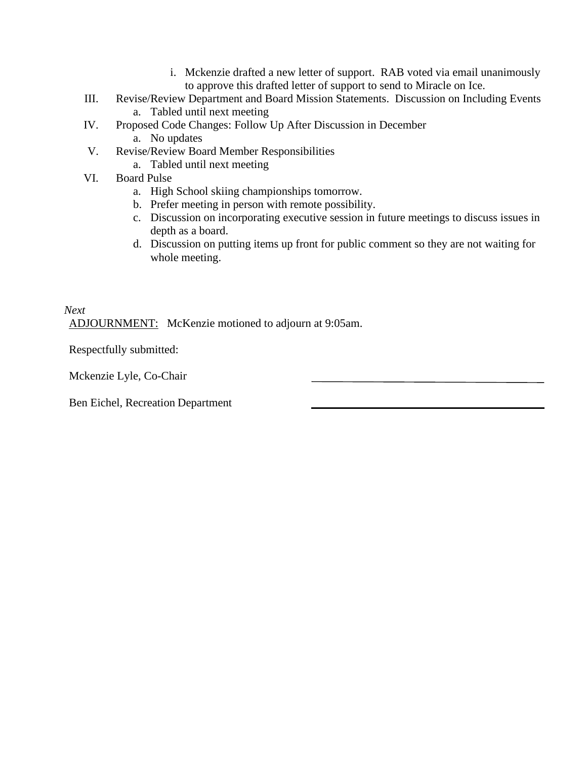- i. Mckenzie drafted a new letter of support. RAB voted via email unanimously to approve this drafted letter of support to send to Miracle on Ice.
- III. Revise/Review Department and Board Mission Statements. Discussion on Including Events a. Tabled until next meeting
- IV. Proposed Code Changes: Follow Up After Discussion in December a. No updates
- V. Revise/Review Board Member Responsibilities
	- a. Tabled until next meeting
- VI. Board Pulse
	- a. High School skiing championships tomorrow.
	- b. Prefer meeting in person with remote possibility.
	- c. Discussion on incorporating executive session in future meetings to discuss issues in depth as a board.
	- d. Discussion on putting items up front for public comment so they are not waiting for whole meeting.

# *Next* ADJOURNMENT: McKenzie motioned to adjourn at 9:05am.

Respectfully submitted:

Mckenzie Lyle, Co-Chair

Ben Eichel, Recreation Department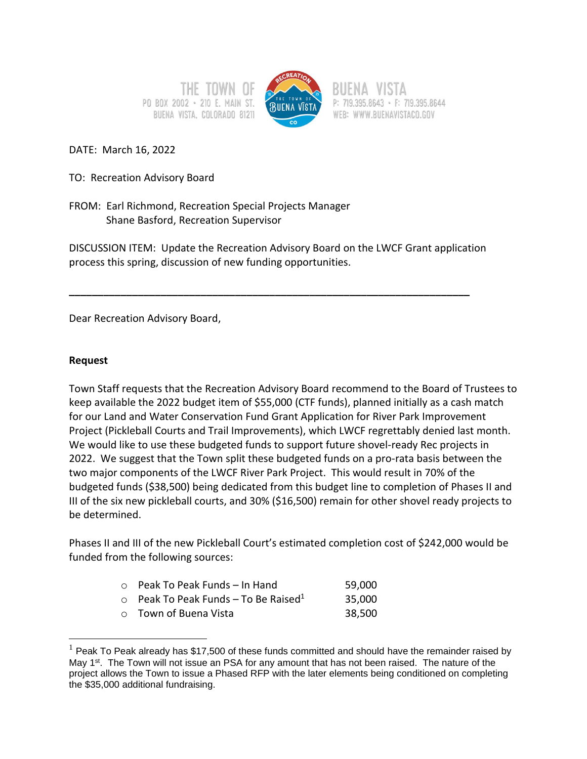PO BOX 2002 . 210 E. MAIN ST. BUENA VISTA, COLORADO 81211



P: 719.395.8643 · F: 719.395.8644 WEB: WWW.BUENAVISTACO.GOV

DATE: March 16, 2022

TO: Recreation Advisory Board

FROM: Earl Richmond, Recreation Special Projects Manager Shane Basford, Recreation Supervisor

DISCUSSION ITEM: Update the Recreation Advisory Board on the LWCF Grant application process this spring, discussion of new funding opportunities.

**\_\_\_\_\_\_\_\_\_\_\_\_\_\_\_\_\_\_\_\_\_\_\_\_\_\_\_\_\_\_\_\_\_\_\_\_\_\_\_\_\_\_\_\_\_\_\_\_\_\_\_\_\_\_\_\_\_\_\_\_\_\_\_\_\_\_\_\_\_\_**

Dear Recreation Advisory Board,

#### **Request**

Town Staff requests that the Recreation Advisory Board recommend to the Board of Trustees to keep available the 2022 budget item of \$55,000 (CTF funds), planned initially as a cash match for our Land and Water Conservation Fund Grant Application for River Park Improvement Project (Pickleball Courts and Trail Improvements), which LWCF regrettably denied last month. We would like to use these budgeted funds to support future shovel-ready Rec projects in 2022. We suggest that the Town split these budgeted funds on a pro-rata basis between the two major components of the LWCF River Park Project. This would result in 70% of the budgeted funds (\$38,500) being dedicated from this budget line to completion of Phases II and III of the six new pickleball courts, and 30% (\$16,500) remain for other shovel ready projects to be determined.

Phases II and III of the new Pickleball Court's estimated completion cost of \$242,000 would be funded from the following sources:

| $\circ$ Peak To Peak Funds - In Hand                   | 59,000 |
|--------------------------------------------------------|--------|
| $\circ$ Peak To Peak Funds – To Be Raised <sup>1</sup> | 35,000 |
| ○ Town of Buena Vista                                  | 38,500 |

 $<sup>1</sup>$  Peak To Peak already has \$17,500 of these funds committed and should have the remainder raised by</sup> May 1<sup>st</sup>. The Town will not issue an PSA for any amount that has not been raised. The nature of the project allows the Town to issue a Phased RFP with the later elements being conditioned on completing the \$35,000 additional fundraising.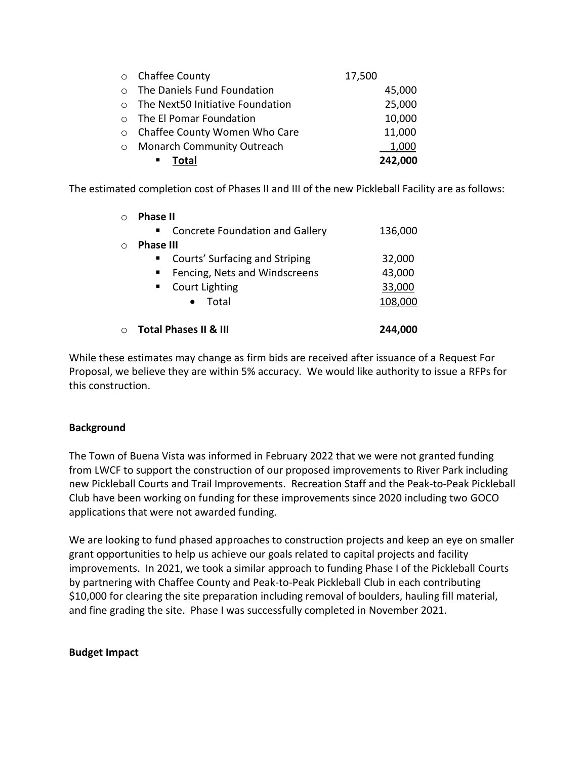|                                          | 1,000                        |
|------------------------------------------|------------------------------|
| ○ Chaffee County Women Who Care          | 11,000                       |
| o The El Pomar Foundation                | 10,000                       |
| $\circ$ The Next50 Initiative Foundation | 25,000                       |
| o The Daniels Fund Foundation            | 45,000                       |
| ○ Chaffee County                         | 17,500                       |
|                                          | o Monarch Community Outreach |

The estimated completion cost of Phases II and III of the new Pickleball Facility are as follows:

| <b>Phase II</b>                                            |         |
|------------------------------------------------------------|---------|
| <b>Concrete Foundation and Gallery</b><br>$\blacksquare$ . | 136,000 |
| <b>Phase III</b>                                           |         |
| Courts' Surfacing and Striping<br>$\blacksquare$ .         | 32,000  |
| Fencing, Nets and Windscreens<br>$\blacksquare$            | 43,000  |
| <b>Court Lighting</b><br>$\blacksquare$ .                  | 33,000  |
| $\bullet$ Total                                            | 108,000 |
| <b>Total Phases II &amp; III</b>                           | 244.000 |

While these estimates may change as firm bids are received after issuance of a Request For Proposal, we believe they are within 5% accuracy. We would like authority to issue a RFPs for this construction.

#### **Background**

The Town of Buena Vista was informed in February 2022 that we were not granted funding from LWCF to support the construction of our proposed improvements to River Park including new Pickleball Courts and Trail Improvements. Recreation Staff and the Peak-to-Peak Pickleball Club have been working on funding for these improvements since 2020 including two GOCO applications that were not awarded funding.

We are looking to fund phased approaches to construction projects and keep an eye on smaller grant opportunities to help us achieve our goals related to capital projects and facility improvements. In 2021, we took a similar approach to funding Phase I of the Pickleball Courts by partnering with Chaffee County and Peak-to-Peak Pickleball Club in each contributing \$10,000 for clearing the site preparation including removal of boulders, hauling fill material, and fine grading the site. Phase I was successfully completed in November 2021.

#### **Budget Impact**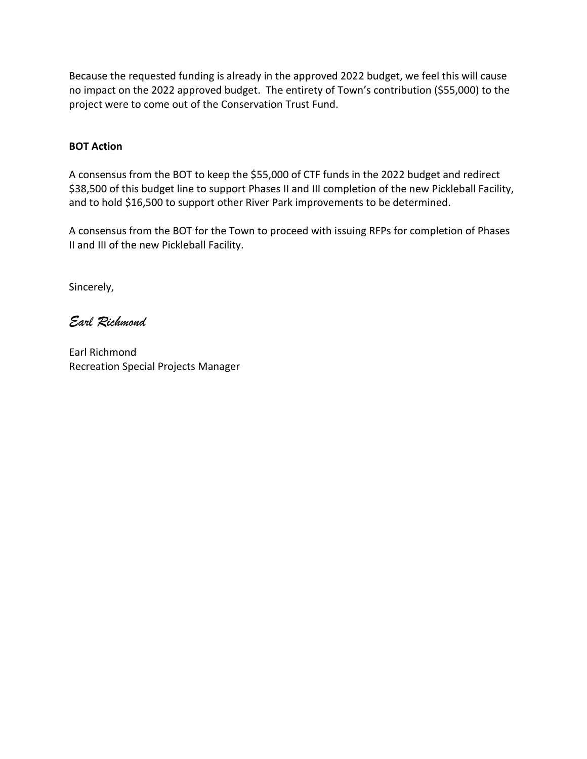Because the requested funding is already in the approved 2022 budget, we feel this will cause no impact on the 2022 approved budget. The entirety of Town's contribution (\$55,000) to the project were to come out of the Conservation Trust Fund.

#### **BOT Action**

A consensus from the BOT to keep the \$55,000 of CTF funds in the 2022 budget and redirect \$38,500 of this budget line to support Phases II and III completion of the new Pickleball Facility, and to hold \$16,500 to support other River Park improvements to be determined.

A consensus from the BOT for the Town to proceed with issuing RFPs for completion of Phases II and III of the new Pickleball Facility.

Sincerely,

*Earl Richmond*

Earl Richmond Recreation Special Projects Manager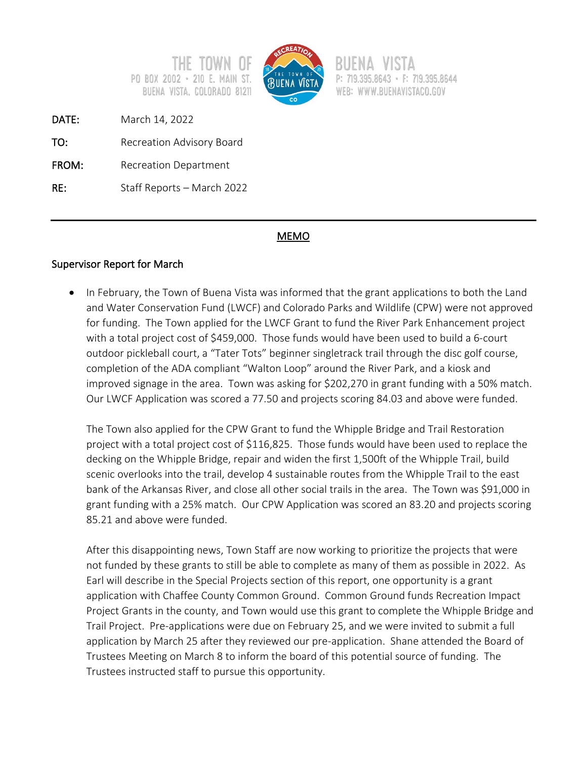

 $\cdot$  F: 719.395.8644 WEB: WWW.BUENAVISTACO.GOV

DATE: March 14, 2022

TO: Recreation Advisory Board

PO BOX 2002 · 210 E.

FROM: Recreation Department

RE: Staff Reports – March 2022

# MEMO

# Supervisor Report for March

• In February, the Town of Buena Vista was informed that the grant applications to both the Land and Water Conservation Fund (LWCF) and Colorado Parks and Wildlife (CPW) were not approved for funding. The Town applied for the LWCF Grant to fund the River Park Enhancement project with a total project cost of \$459,000. Those funds would have been used to build a 6-court outdoor pickleball court, a "Tater Tots" beginner singletrack trail through the disc golf course, completion of the ADA compliant "Walton Loop" around the River Park, and a kiosk and improved signage in the area. Town was asking for \$202,270 in grant funding with a 50% match. Our LWCF Application was scored a 77.50 and projects scoring 84.03 and above were funded.

The Town also applied for the CPW Grant to fund the Whipple Bridge and Trail Restoration project with a total project cost of \$116,825. Those funds would have been used to replace the decking on the Whipple Bridge, repair and widen the first 1,500ft of the Whipple Trail, build scenic overlooks into the trail, develop 4 sustainable routes from the Whipple Trail to the east bank of the Arkansas River, and close all other social trails in the area. The Town was \$91,000 in grant funding with a 25% match. Our CPW Application was scored an 83.20 and projects scoring 85.21 and above were funded.

After this disappointing news, Town Staff are now working to prioritize the projects that were not funded by these grants to still be able to complete as many of them as possible in 2022. As Earl will describe in the Special Projects section of this report, one opportunity is a grant application with Chaffee County Common Ground. Common Ground funds Recreation Impact Project Grants in the county, and Town would use this grant to complete the Whipple Bridge and Trail Project. Pre-applications were due on February 25, and we were invited to submit a full application by March 25 after they reviewed our pre-application. Shane attended the Board of Trustees Meeting on March 8 to inform the board of this potential source of funding. The Trustees instructed staff to pursue this opportunity.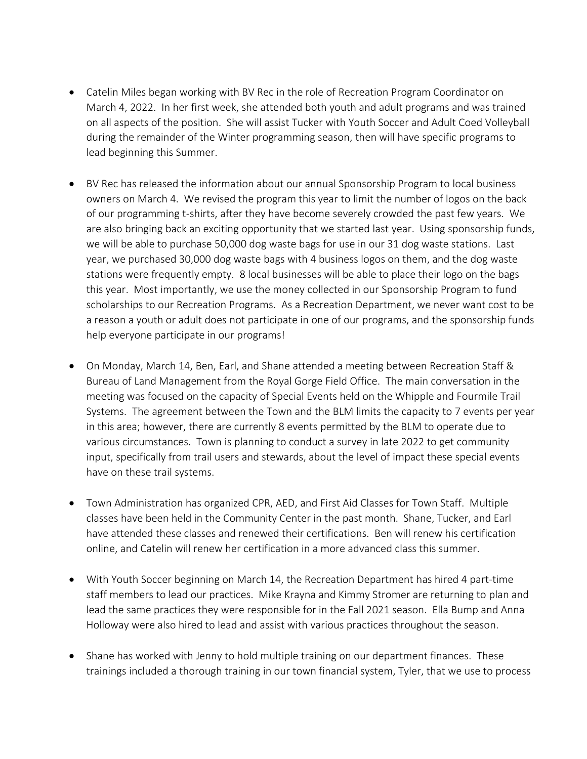- Catelin Miles began working with BV Rec in the role of Recreation Program Coordinator on March 4, 2022. In her first week, she attended both youth and adult programs and was trained on all aspects of the position. She will assist Tucker with Youth Soccer and Adult Coed Volleyball during the remainder of the Winter programming season, then will have specific programs to lead beginning this Summer.
- BV Rec has released the information about our annual Sponsorship Program to local business owners on March 4. We revised the program this year to limit the number of logos on the back of our programming t-shirts, after they have become severely crowded the past few years. We are also bringing back an exciting opportunity that we started last year. Using sponsorship funds, we will be able to purchase 50,000 dog waste bags for use in our 31 dog waste stations. Last year, we purchased 30,000 dog waste bags with 4 business logos on them, and the dog waste stations were frequently empty. 8 local businesses will be able to place their logo on the bags this year. Most importantly, we use the money collected in our Sponsorship Program to fund scholarships to our Recreation Programs. As a Recreation Department, we never want cost to be a reason a youth or adult does not participate in one of our programs, and the sponsorship funds help everyone participate in our programs!
- On Monday, March 14, Ben, Earl, and Shane attended a meeting between Recreation Staff & Bureau of Land Management from the Royal Gorge Field Office. The main conversation in the meeting was focused on the capacity of Special Events held on the Whipple and Fourmile Trail Systems. The agreement between the Town and the BLM limits the capacity to 7 events per year in this area; however, there are currently 8 events permitted by the BLM to operate due to various circumstances. Town is planning to conduct a survey in late 2022 to get community input, specifically from trail users and stewards, about the level of impact these special events have on these trail systems.
- Town Administration has organized CPR, AED, and First Aid Classes for Town Staff. Multiple classes have been held in the Community Center in the past month. Shane, Tucker, and Earl have attended these classes and renewed their certifications. Ben will renew his certification online, and Catelin will renew her certification in a more advanced class this summer.
- With Youth Soccer beginning on March 14, the Recreation Department has hired 4 part-time staff members to lead our practices. Mike Krayna and Kimmy Stromer are returning to plan and lead the same practices they were responsible for in the Fall 2021 season. Ella Bump and Anna Holloway were also hired to lead and assist with various practices throughout the season.
- Shane has worked with Jenny to hold multiple training on our department finances. These trainings included a thorough training in our town financial system, Tyler, that we use to process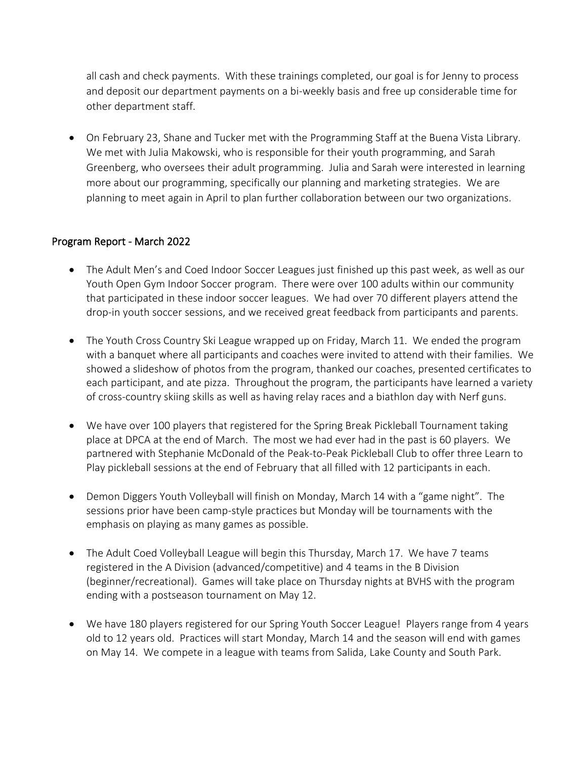all cash and check payments. With these trainings completed, our goal is for Jenny to process and deposit our department payments on a bi-weekly basis and free up considerable time for other department staff.

• On February 23, Shane and Tucker met with the Programming Staff at the Buena Vista Library. We met with Julia Makowski, who is responsible for their youth programming, and Sarah Greenberg, who oversees their adult programming. Julia and Sarah were interested in learning more about our programming, specifically our planning and marketing strategies. We are planning to meet again in April to plan further collaboration between our two organizations.

### Program Report - March 2022

- The Adult Men's and Coed Indoor Soccer Leagues just finished up this past week, as well as our Youth Open Gym Indoor Soccer program. There were over 100 adults within our community that participated in these indoor soccer leagues. We had over 70 different players attend the drop-in youth soccer sessions, and we received great feedback from participants and parents.
- The Youth Cross Country Ski League wrapped up on Friday, March 11. We ended the program with a banquet where all participants and coaches were invited to attend with their families. We showed a slideshow of photos from the program, thanked our coaches, presented certificates to each participant, and ate pizza. Throughout the program, the participants have learned a variety of cross-country skiing skills as well as having relay races and a biathlon day with Nerf guns.
- We have over 100 players that registered for the Spring Break Pickleball Tournament taking place at DPCA at the end of March. The most we had ever had in the past is 60 players. We partnered with Stephanie McDonald of the Peak-to-Peak Pickleball Club to offer three Learn to Play pickleball sessions at the end of February that all filled with 12 participants in each.
- Demon Diggers Youth Volleyball will finish on Monday, March 14 with a "game night". The sessions prior have been camp-style practices but Monday will be tournaments with the emphasis on playing as many games as possible.
- The Adult Coed Volleyball League will begin this Thursday, March 17. We have 7 teams registered in the A Division (advanced/competitive) and 4 teams in the B Division (beginner/recreational). Games will take place on Thursday nights at BVHS with the program ending with a postseason tournament on May 12.
- We have 180 players registered for our Spring Youth Soccer League! Players range from 4 years old to 12 years old. Practices will start Monday, March 14 and the season will end with games on May 14. We compete in a league with teams from Salida, Lake County and South Park.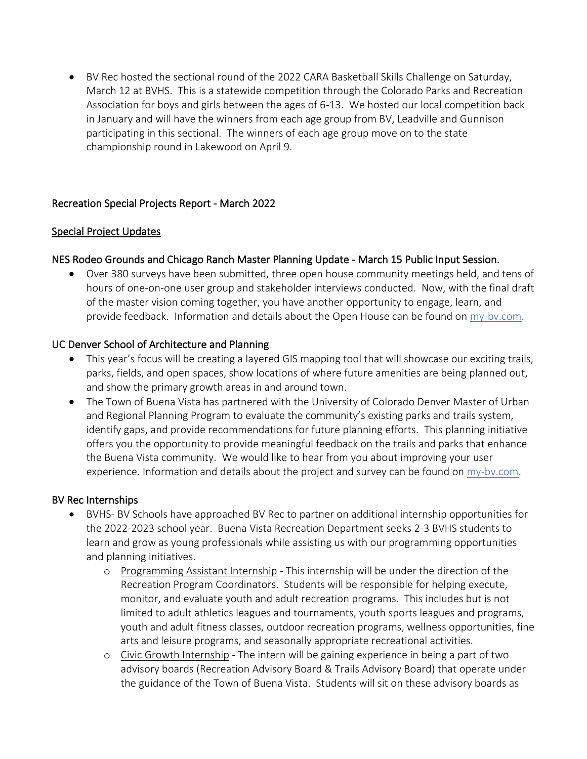• BV Rec hosted the sectional round of the 2022 CARA Basketball Skills Challenge on Saturday, March 12 at BVHS. This is a statewide competition through the Colorado Parks and Recreation Association for boys and girls between the ages of 6-13. We hosted our local competition back in January and will have the winners from each age group from BV, Leadville and Gunnison participating in this sectional. The winners of each age group move on to the state championship round in Lakewood on April 9.

### Recreation Special Projects Report - March 2022

### Special Project Updates

### NES Rodeo Grounds and Chicago Ranch Master Planning Update - March 15 Public Input Session.

• Over 380 surveys have been submitted, three open house community meetings held, and tens of hours of one-on-one user group and stakeholder interviews conducted. Now, with the final draft of the master vision coming together, you have another opportunity to engage, learn, and provide feedback. Information and details about the Open House can be found on my-bv.com.

### UC Denver School of Architecture and Planning

- This year's focus will be creating a layered GIS mapping tool that will showcase our exciting trails, parks, fields, and open spaces, show locations of where future amenities are being planned out, and show the primary growth areas in and around town.
- The Town of Buena Vista has partnered with the University of Colorado Denver Master of Urban and Regional Planning Program to evaluate the community's existing parks and trails system, identify gaps, and provide recommendations for future planning efforts. This planning initiative offers you the opportunity to provide meaningful feedback on the trails and parks that enhance the Buena Vista community. We would like to hear from you about improving your user experience. Information and details about the project and survey can be found on  $\frac{my-bv.com}{m}$ .

### BV Rec Internships

- BVHS- BV Schools have approached BV Rec to partner on additional internship opportunities for the 2022-2023 school year. Buena Vista Recreation Department seeks 2-3 BVHS students to learn and grow as young professionals while assisting us with our programming opportunities and planning initiatives.
	- o Programming Assistant Internship This internship will be under the direction of the Recreation Program Coordinators. Students will be responsible for helping execute, monitor, and evaluate youth and adult recreation programs. This includes but is not limited to adult athletics leagues and tournaments, youth sports leagues and programs, youth and adult fitness classes, outdoor recreation programs, wellness opportunities, fine arts and leisure programs, and seasonally appropriate recreational activities.
	- o Civic Growth Internship The intern will be gaining experience in being a part of two advisory boards (Recreation Advisory Board & Trails Advisory Board) that operate under the guidance of the Town of Buena Vista. Students will sit on these advisory boards as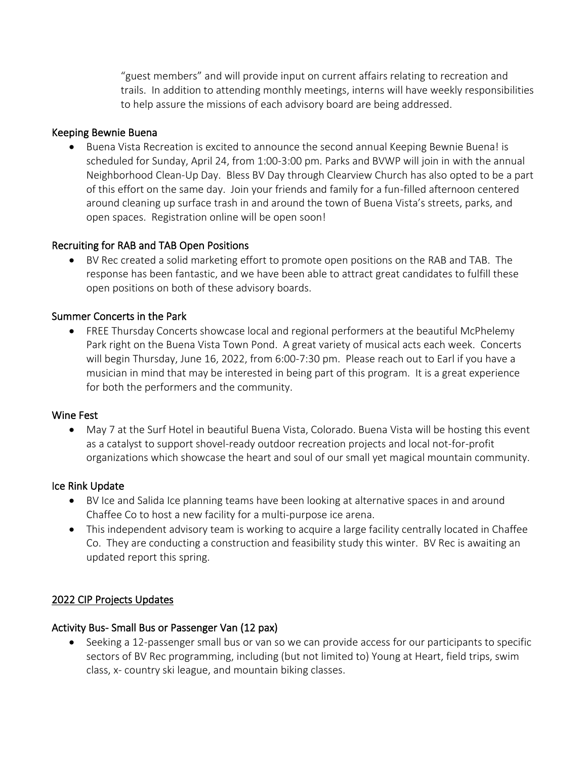"guest members" and will provide input on current affairs relating to recreation and trails. In addition to attending monthly meetings, interns will have weekly responsibilities to help assure the missions of each advisory board are being addressed.

### Keeping Bewnie Buena

• Buena Vista Recreation is excited to announce the second annual Keeping Bewnie Buena! is scheduled for Sunday, April 24, from 1:00-3:00 pm. Parks and BVWP will join in with the annual Neighborhood Clean-Up Day. Bless BV Day through Clearview Church has also opted to be a part of this effort on the same day. Join your friends and family for a fun-filled afternoon centered around cleaning up surface trash in and around the town of Buena Vista's streets, parks, and open spaces. Registration online will be open soon!

#### Recruiting for RAB and TAB Open Positions

• BV Rec created a solid marketing effort to promote open positions on the RAB and TAB. The response has been fantastic, and we have been able to attract great candidates to fulfill these open positions on both of these advisory boards.

#### Summer Concerts in the Park

• FREE Thursday Concerts showcase local and regional performers at the beautiful McPhelemy Park right on the Buena Vista Town Pond. A great variety of musical acts each week. Concerts will begin Thursday, June 16, 2022, from 6:00-7:30 pm. Please reach out to Earl if you have a musician in mind that may be interested in being part of this program. It is a great experience for both the performers and the community.

#### Wine Fest

• May 7 at the Surf Hotel in beautiful Buena Vista, Colorado. Buena Vista will be hosting this event as a catalyst to support shovel-ready outdoor recreation projects and local not-for-profit organizations which showcase the heart and soul of our small yet magical mountain community.

#### Ice Rink Update

- BV Ice and Salida Ice planning teams have been looking at alternative spaces in and around Chaffee Co to host a new facility for a multi-purpose ice arena.
- This independent advisory team is working to acquire a large facility centrally located in Chaffee Co. They are conducting a construction and feasibility study this winter. BV Rec is awaiting an updated report this spring.

#### 2022 CIP Projects Updates

#### Activity Bus- Small Bus or Passenger Van (12 pax)

• Seeking a 12-passenger small bus or van so we can provide access for our participants to specific sectors of BV Rec programming, including (but not limited to) Young at Heart, field trips, swim class, x- country ski league, and mountain biking classes.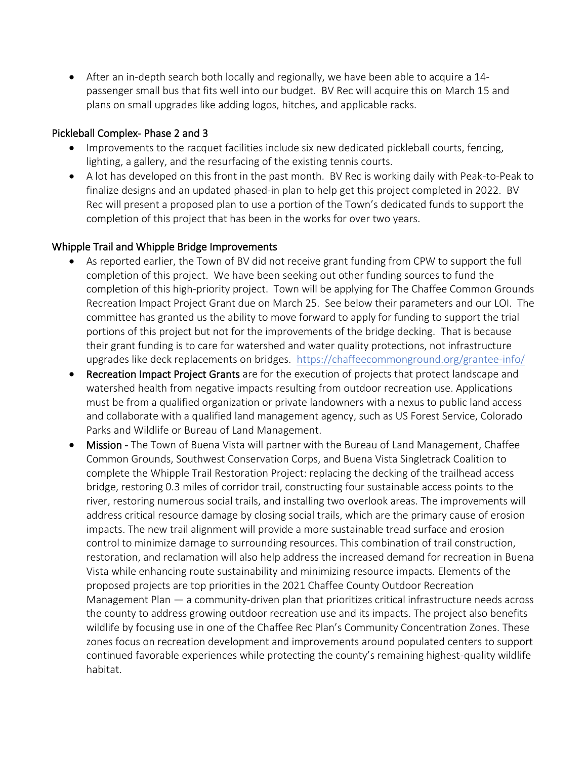• After an in-depth search both locally and regionally, we have been able to acquire a 14 passenger small bus that fits well into our budget. BV Rec will acquire this on March 15 and plans on small upgrades like adding logos, hitches, and applicable racks.

### Pickleball Complex- Phase 2 and 3

- Improvements to the racquet facilities include six new dedicated pickleball courts, fencing, lighting, a gallery, and the resurfacing of the existing tennis courts.
- A lot has developed on this front in the past month. BV Rec is working daily with Peak-to-Peak to finalize designs and an updated phased-in plan to help get this project completed in 2022. BV Rec will present a proposed plan to use a portion of the Town's dedicated funds to support the completion of this project that has been in the works for over two years.

### Whipple Trail and Whipple Bridge Improvements

- As reported earlier, the Town of BV did not receive grant funding from CPW to support the full completion of this project. We have been seeking out other funding sources to fund the completion of this high-priority project. Town will be applying for The Chaffee Common Grounds Recreation Impact Project Grant due on March 25. See below their parameters and our LOI. The committee has granted us the ability to move forward to apply for funding to support the trial portions of this project but not for the improvements of the bridge decking. That is because their grant funding is to care for watershed and water quality protections, not infrastructure upgrades like deck replacements on bridges. https://chaffeecommonground.org/grantee-info/
- Recreation Impact Project Grants are for the execution of projects that protect landscape and watershed health from negative impacts resulting from outdoor recreation use. Applications must be from a qualified organization or private landowners with a nexus to public land access and collaborate with a qualified land management agency, such as US Forest Service, Colorado Parks and Wildlife or Bureau of Land Management.
- Mission The Town of Buena Vista will partner with the Bureau of Land Management, Chaffee Common Grounds, Southwest Conservation Corps, and Buena Vista Singletrack Coalition to complete the Whipple Trail Restoration Project: replacing the decking of the trailhead access bridge, restoring 0.3 miles of corridor trail, constructing four sustainable access points to the river, restoring numerous social trails, and installing two overlook areas. The improvements will address critical resource damage by closing social trails, which are the primary cause of erosion impacts. The new trail alignment will provide a more sustainable tread surface and erosion control to minimize damage to surrounding resources. This combination of trail construction, restoration, and reclamation will also help address the increased demand for recreation in Buena Vista while enhancing route sustainability and minimizing resource impacts. Elements of the proposed projects are top priorities in the 2021 Chaffee County Outdoor Recreation Management Plan — a community-driven plan that prioritizes critical infrastructure needs across the county to address growing outdoor recreation use and its impacts. The project also benefits wildlife by focusing use in one of the Chaffee Rec Plan's Community Concentration Zones. These zones focus on recreation development and improvements around populated centers to support continued favorable experiences while protecting the county's remaining highest-quality wildlife habitat.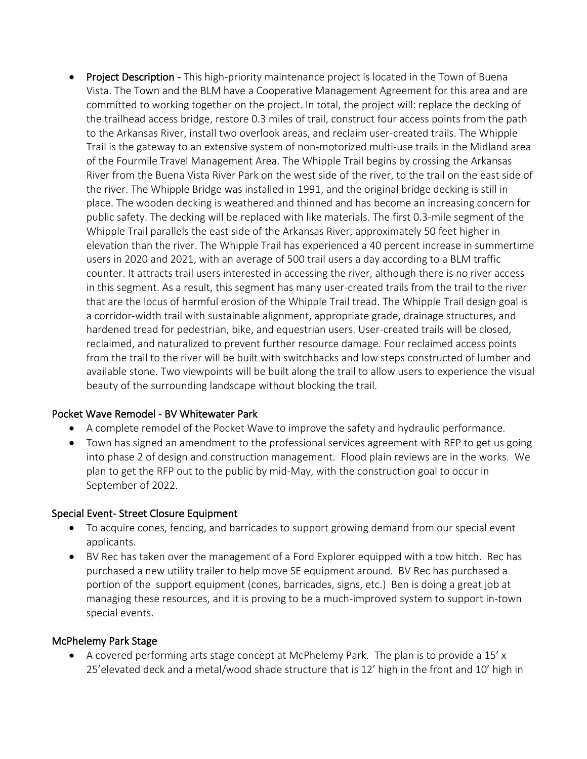• Project Description - This high-priority maintenance project is located in the Town of Buena Vista. The Town and the BLM have a Cooperative Management Agreement for this area and are committed to working together on the project. In total, the project will: replace the decking of the trailhead access bridge, restore 0.3 miles of trail, construct four access points from the path to the Arkansas River, install two overlook areas, and reclaim user-created trails. The Whipple Trail is the gateway to an extensive system of non-motorized multi-use trails in the Midland area of the Fourmile Travel Management Area. The Whipple Trail begins by crossing the Arkansas River from the Buena Vista River Park on the west side of the river, to the trail on the east side of the river. The Whipple Bridge was installed in 1991, and the original bridge decking is still in place. The wooden decking is weathered and thinned and has become an increasing concern for public safety. The decking will be replaced with like materials. The first 0.3-mile segment of the Whipple Trail parallels the east side of the Arkansas River, approximately 50 feet higher in elevation than the river. The Whipple Trail has experienced a 40 percent increase in summertime users in 2020 and 2021, with an average of 500 trail users a day according to a BLM traffic counter. It attracts trail users interested in accessing the river, although there is no river access in this segment. As a result, this segment has many user-created trails from the trail to the river that are the locus of harmful erosion of the Whipple Trail tread. The Whipple Trail design goal is a corridor-width trail with sustainable alignment, appropriate grade, drainage structures, and hardened tread for pedestrian, bike, and equestrian users. User-created trails will be closed, reclaimed, and naturalized to prevent further resource damage. Four reclaimed access points from the trail to the river will be built with switchbacks and low steps constructed of lumber and available stone. Two viewpoints will be built along the trail to allow users to experience the visual beauty of the surrounding landscape without blocking the trail.

### Pocket Wave Remodel - BV Whitewater Park

- A complete remodel of the Pocket Wave to improve the safety and hydraulic performance.
- Town has signed an amendment to the professional services agreement with REP to get us going into phase 2 of design and construction management. Flood plain reviews are in the works. We plan to get the RFP out to the public by mid-May, with the construction goal to occur in September of 2022.

### Special Event- Street Closure Equipment

- To acquire cones, fencing, and barricades to support growing demand from our special event applicants.
- BV Rec has taken over the management of a Ford Explorer equipped with a tow hitch. Rec has purchased a new utility trailer to help move SE equipment around. BV Rec has purchased a portion of the support equipment (cones, barricades, signs, etc.) Ben is doing a great job at managing these resources, and it is proving to be a much-improved system to support in-town special events.

### McPhelemy Park Stage

• A covered performing arts stage concept at McPhelemy Park. The plan is to provide a 15' x 25'elevated deck and a metal/wood shade structure that is 12' high in the front and 10' high in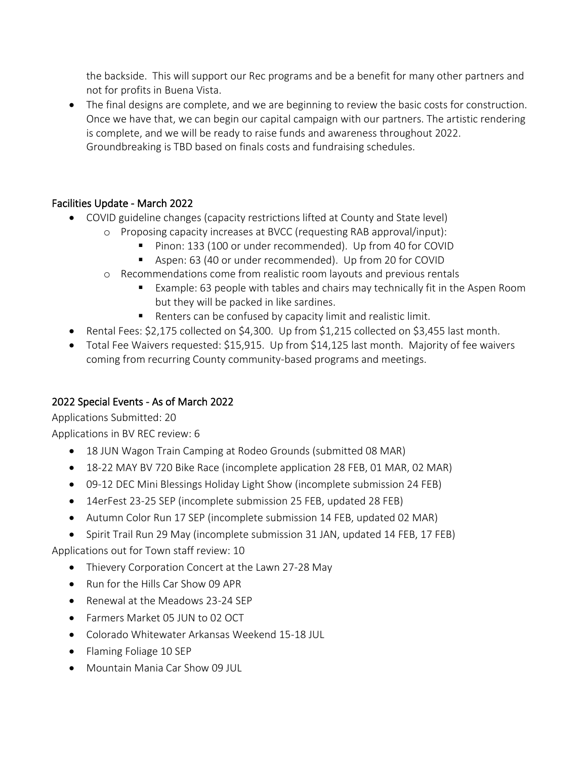the backside. This will support our Rec programs and be a benefit for many other partners and not for profits in Buena Vista.

• The final designs are complete, and we are beginning to review the basic costs for construction. Once we have that, we can begin our capital campaign with our partners. The artistic rendering is complete, and we will be ready to raise funds and awareness throughout 2022. Groundbreaking is TBD based on finals costs and fundraising schedules.

# Facilities Update - March 2022

- COVID guideline changes (capacity restrictions lifted at County and State level)
	- o Proposing capacity increases at BVCC (requesting RAB approval/input):
		- Pinon: 133 (100 or under recommended). Up from 40 for COVID
		- Aspen: 63 (40 or under recommended). Up from 20 for COVID
	- o Recommendations come from realistic room layouts and previous rentals
		- Example: 63 people with tables and chairs may technically fit in the Aspen Room but they will be packed in like sardines.
		- Renters can be confused by capacity limit and realistic limit.
- Rental Fees: \$2,175 collected on \$4,300. Up from \$1,215 collected on \$3,455 last month.
- Total Fee Waivers requested: \$15,915. Up from \$14,125 last month. Majority of fee waivers coming from recurring County community-based programs and meetings.

# 2022 Special Events - As of March 2022

Applications Submitted: 20

Applications in BV REC review: 6

- 18 JUN Wagon Train Camping at Rodeo Grounds (submitted 08 MAR)
- 18-22 MAY BV 720 Bike Race (incomplete application 28 FEB, 01 MAR, 02 MAR)
- 09-12 DEC Mini Blessings Holiday Light Show (incomplete submission 24 FEB)
- 14erFest 23-25 SEP (incomplete submission 25 FEB, updated 28 FEB)
- Autumn Color Run 17 SEP (incomplete submission 14 FEB, updated 02 MAR)
- Spirit Trail Run 29 May (incomplete submission 31 JAN, updated 14 FEB, 17 FEB)

Applications out for Town staff review: 10

- Thievery Corporation Concert at the Lawn 27-28 May
- Run for the Hills Car Show 09 APR
- Renewal at the Meadows 23-24 SEP
- Farmers Market 05 JUN to 02 OCT
- Colorado Whitewater Arkansas Weekend 15-18 JUL
- Flaming Foliage 10 SEP
- Mountain Mania Car Show 09 JUL